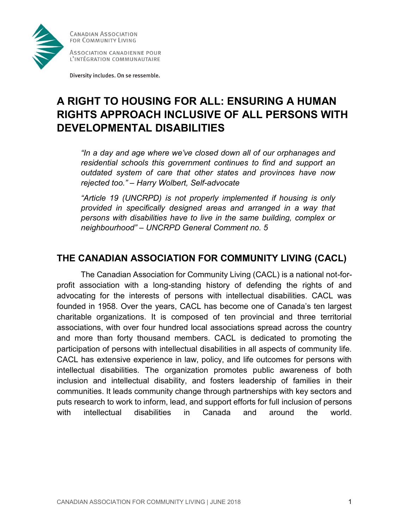

ASSOCIATION CANADIENNE POUR L'INTÉGRATION COMMUNAUTAIRE

Diversity includes. On se ressemble.

# **A RIGHT TO HOUSING FOR ALL: ENSURING A HUMAN RIGHTS APPROACH INCLUSIVE OF ALL PERSONS WITH DEVELOPMENTAL DISABILITIES**

*"In a day and age where we've closed down all of our orphanages and residential schools this government continues to find and support an outdated system of care that other states and provinces have now rejected too." – Harry Wolbert, Self-advocate*

*"Article 19 (UNCRPD) is not properly implemented if housing is only provided in specifically designed areas and arranged in a way that persons with disabilities have to live in the same building, complex or neighbourhood" – UNCRPD General Comment no. 5*

#### **THE CANADIAN ASSOCIATION FOR COMMUNITY LIVING (CACL)**

The Canadian Association for Community Living (CACL) is a national not-forprofit association with a long-standing history of defending the rights of and advocating for the interests of persons with intellectual disabilities. CACL was founded in 1958. Over the years, CACL has become one of Canada's ten largest charitable organizations. It is composed of ten provincial and three territorial associations, with over four hundred local associations spread across the country and more than forty thousand members. CACL is dedicated to promoting the participation of persons with intellectual disabilities in all aspects of community life. CACL has extensive experience in law, policy, and life outcomes for persons with intellectual disabilities. The organization promotes public awareness of both inclusion and intellectual disability, and fosters leadership of families in their communities. It leads community change through partnerships with key sectors and puts research to work to inform, lead, and support efforts for full inclusion of persons with intellectual disabilities in Canada and around the world.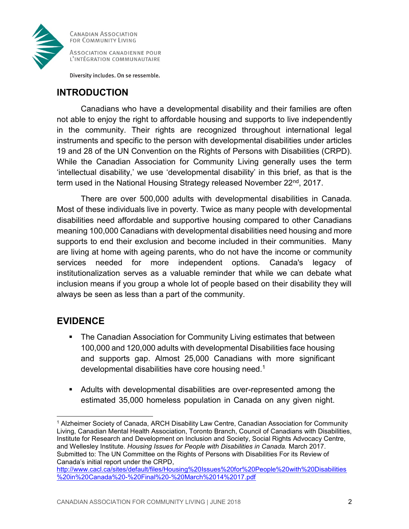

ASSOCIATION CANADIENNE POUR L'INTÉGRATION COMMUNAUTAIRE

Diversity includes. On se ressemble.

#### **INTRODUCTION**

Canadians who have a developmental disability and their families are often not able to enjoy the right to affordable housing and supports to live independently in the community. Their rights are recognized throughout international legal instruments and specific to the person with developmental disabilities under articles 19 and 28 of the UN Convention on the Rights of Persons with Disabilities (CRPD). While the Canadian Association for Community Living generally uses the term 'intellectual disability,' we use 'developmental disability' in this brief, as that is the term used in the National Housing Strategy released November 22<sup>nd</sup>, 2017.

There are over 500,000 adults with developmental disabilities in Canada. Most of these individuals live in poverty. Twice as many people with developmental disabilities need affordable and supportive housing compared to other Canadians meaning 100,000 Canadians with developmental disabilities need housing and more supports to end their exclusion and become included in their communities. Many are living at home with ageing parents, who do not have the income or community services needed for more independent options. Canada's legacy of institutionalization serves as a valuable reminder that while we can debate what inclusion means if you group a whole lot of people based on their disability they will always be seen as less than a part of the community.

## **EVIDENCE**

- The Canadian Association for Community Living estimates that between 100,000 and 120,000 adults with developmental Disabilities face housing and supports gap. Almost 25,000 Canadians with more significant developmental disabilities have core housing need.<sup>1</sup>
- Adults with developmental disabilities are over-represented among the estimated 35,000 homeless population in Canada on any given night.

 $\overline{\phantom{a}}$ <sup>1</sup> Alzheimer Society of Canada, ARCH Disability Law Centre, Canadian Association for Community Living, Canadian Mental Health Association, Toronto Branch, Council of Canadians with Disabilities, Institute for Research and Development on Inclusion and Society, Social Rights Advocacy Centre, and Wellesley Institute. *Housing Issues for People with Disabilities in Canada.* March 2017. Submitted to: The UN Committee on the Rights of Persons with Disabilities For its Review of Canada's initial report under the CRPD,

[http://www.cacl.ca/sites/default/files/Housing%20Issues%20for%20People%20with%20Disabilities](http://www.cacl.ca/sites/default/files/Housing%20Issues%20for%20People%20with%20Disabilities%20in%20Canada%20-%20Final%20-%20March%2014%2017.pdf) [%20in%20Canada%20-%20Final%20-%20March%2014%2017.pdf](http://www.cacl.ca/sites/default/files/Housing%20Issues%20for%20People%20with%20Disabilities%20in%20Canada%20-%20Final%20-%20March%2014%2017.pdf)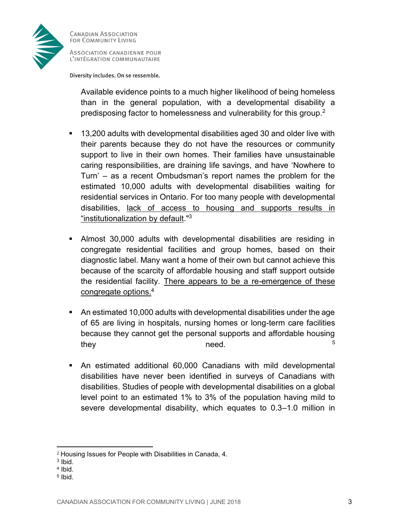

ASSOCIATION CANADIENNE POUR L'INTÉGRATION COMMUNAUTAIRE

Diversity includes. On se ressemble.

Available evidence points to a much higher likelihood of being homeless than in the general population, with a developmental disability a predisposing factor to homelessness and vulnerability for this group. 2

- 13,200 adults with developmental disabilities aged 30 and older live with their parents because they do not have the resources or community support to live in their own homes. Their families have unsustainable caring responsibilities, are draining life savings, and have 'Nowhere to Turn' – as a recent Ombudsman's report names the problem for the estimated 10,000 adults with developmental disabilities waiting for residential services in Ontario. For too many people with developmental disabilities, lack of access to housing and supports results in "institutionalization by default."<sup>3</sup>
- Almost 30,000 adults with developmental disabilities are residing in congregate residential facilities and group homes, based on their diagnostic label. Many want a home of their own but cannot achieve this because of the scarcity of affordable housing and staff support outside the residential facility. There appears to be a re-emergence of these congregate options.<sup>4</sup>
- An estimated 10,000 adults with developmental disabilities under the age of 65 are living in hospitals, nursing homes or long-term care facilities because they cannot get the personal supports and affordable housing  $\blacksquare$  they need. The set of  $\blacksquare$
- An estimated additional 60,000 Canadians with mild developmental disabilities have never been identified in surveys of Canadians with disabilities. Studies of people with developmental disabilities on a global level point to an estimated 1% to 3% of the population having mild to severe developmental disability, which equates to 0.3–1.0 million in

- 4 Ibid.
- 5 Ibid.

<sup>2</sup> Housing Issues for People with Disabilities in Canada, 4.

<sup>3</sup> Ibid.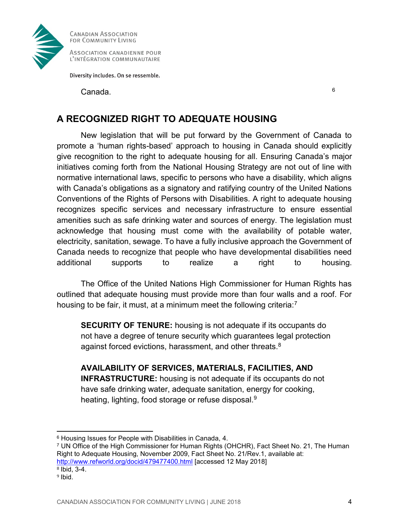

ASSOCIATION CANADIENNE POUR L'INTÉGRATION COMMUNAUTAIRE

Diversity includes. On se ressemble.

Canada. <sup>6</sup>

## **A RECOGNIZED RIGHT TO ADEQUATE HOUSING**

New legislation that will be put forward by the Government of Canada to promote a 'human rights-based' approach to housing in Canada should explicitly give recognition to the right to adequate housing for all. Ensuring Canada's major initiatives coming forth from the National Housing Strategy are not out of line with normative international laws, specific to persons who have a disability, which aligns with Canada's obligations as a signatory and ratifying country of the United Nations Conventions of the Rights of Persons with Disabilities. A right to adequate housing recognizes specific services and necessary infrastructure to ensure essential amenities such as safe drinking water and sources of energy. The legislation must acknowledge that housing must come with the availability of potable water, electricity, sanitation, sewage. To have a fully inclusive approach the Government of Canada needs to recognize that people who have developmental disabilities need additional supports to realize a right to housing.

The Office of the United Nations High Commissioner for Human Rights has outlined that adequate housing must provide more than four walls and a roof. For housing to be fair, it must, at a minimum meet the following criteria:<sup>7</sup>

**SECURITY OF TENURE:** housing is not adequate if its occupants do not have a degree of tenure security which guarantees legal protection against forced evictions, harassment, and other threats.<sup>8</sup>

**AVAILABILITY OF SERVICES, MATERIALS, FACILITIES, AND INFRASTRUCTURE:** housing is not adequate if its occupants do not have safe drinking water, adequate sanitation, energy for cooking, heating, lighting, food storage or refuse disposal.<sup>9</sup>

<sup>7</sup> UN Office of the High Commissioner for Human Rights (OHCHR), Fact Sheet No. 21, The Human Right to Adequate Housing, November 2009, Fact Sheet No. 21/Rev.1, available at: <http://www.refworld.org/docid/479477400.html> [accessed 12 May 2018]  $8$  Ibid, 3-4.

<sup>9</sup> Ibid.

 $\overline{\phantom{a}}$ 

<sup>6</sup> Housing Issues for People with Disabilities in Canada, 4.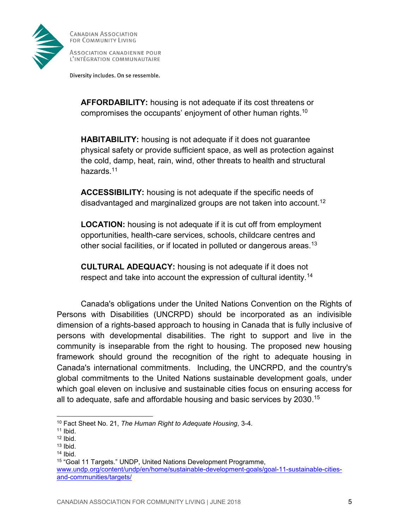

ASSOCIATION CANADIENNE POUR L'INTÉGRATION COMMUNAUTAIRE

Diversity includes. On se ressemble.

**AFFORDABILITY:** housing is not adequate if its cost threatens or compromises the occupants' enjoyment of other human rights.<sup>10</sup>

**HABITABILITY:** housing is not adequate if it does not guarantee physical safety or provide sufficient space, as well as protection against the cold, damp, heat, rain, wind, other threats to health and structural hazards.<sup>11</sup>

**ACCESSIBILITY:** housing is not adequate if the specific needs of disadvantaged and marginalized groups are not taken into account.<sup>12</sup>

**LOCATION:** housing is not adequate if it is cut off from employment opportunities, health-care services, schools, childcare centres and other social facilities, or if located in polluted or dangerous areas.<sup>13</sup>

**CULTURAL ADEQUACY:** housing is not adequate if it does not respect and take into account the expression of cultural identity.<sup>14</sup>

Canada's obligations under the United Nations Convention on the Rights of Persons with Disabilities (UNCRPD) should be incorporated as an indivisible dimension of a rights-based approach to housing in Canada that is fully inclusive of persons with developmental disabilities. The right to support and live in the community is inseparable from the right to housing. The proposed new housing framework should ground the recognition of the right to adequate housing in Canada's international commitments. Including, the UNCRPD, and the country's global commitments to the United Nations sustainable development goals, under which goal eleven on inclusive and sustainable cities focus on ensuring access for all to adequate, safe and affordable housing and basic services by 2030. 15

 $\overline{\phantom{a}}$ 

<sup>10</sup> Fact Sheet No. 21, *The Human Right to Adequate Housing,* 3-4.

 $11$  Ibid.

<sup>12</sup> Ibid.

 $13$  Ibid.

<sup>14</sup> Ibid.

<sup>15</sup> "Goal 11 Targets." UNDP, United Nations Development Programme, [www.undp.org/content/undp/en/home/sustainable-development-goals/goal-11-sustainable-cities](file:///C:/Users/kgoddard/Desktop/www.undp.org/content/undp/en/home/sustainable-development-goals/goal-11-sustainable-cities-and-communities/targets/)[and-communities/targets/](file:///C:/Users/kgoddard/Desktop/www.undp.org/content/undp/en/home/sustainable-development-goals/goal-11-sustainable-cities-and-communities/targets/)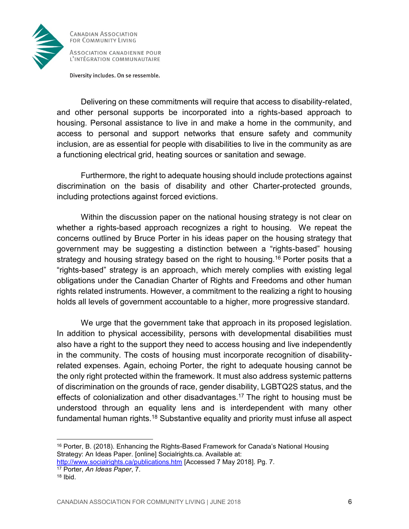

ASSOCIATION CANADIENNE POUR L'INTÉGRATION COMMUNAUTAIRE

Diversity includes. On se ressemble.

Delivering on these commitments will require that access to disability-related, and other personal supports be incorporated into a rights-based approach to housing. Personal assistance to live in and make a home in the community, and access to personal and support networks that ensure safety and community inclusion, are as essential for people with disabilities to live in the community as are a functioning electrical grid, heating sources or sanitation and sewage.

Furthermore, the right to adequate housing should include protections against discrimination on the basis of disability and other Charter-protected grounds, including protections against forced evictions.

Within the discussion paper on the national housing strategy is not clear on whether a rights-based approach recognizes a right to housing. We repeat the concerns outlined by Bruce Porter in his ideas paper on the housing strategy that government may be suggesting a distinction between a "rights-based" housing strategy and housing strategy based on the right to housing.<sup>16</sup> Porter posits that a "rights-based" strategy is an approach, which merely complies with existing legal obligations under the Canadian Charter of Rights and Freedoms and other human rights related instruments. However, a commitment to the realizing a right to housing holds all levels of government accountable to a higher, more progressive standard.

We urge that the government take that approach in its proposed legislation. In addition to physical accessibility, persons with developmental disabilities must also have a right to the support they need to access housing and live independently in the community. The costs of housing must incorporate recognition of disabilityrelated expenses. Again, echoing Porter, the right to adequate housing cannot be the only right protected within the framework. It must also address systemic patterns of discrimination on the grounds of race, gender disability, LGBTQ2S status, and the effects of colonialization and other disadvantages. <sup>17</sup> The right to housing must be understood through an equality lens and is interdependent with many other fundamental human rights.<sup>18</sup> Substantive equality and priority must infuse all aspect

<sup>&</sup>lt;sup>16</sup> Porter, B. (2018). Enhancing the Rights-Based Framework for Canada's National Housing Strategy: An Ideas Paper. [online] Socialrights.ca. Available at:

<http://www.socialrights.ca/publications.htm> [Accessed 7 May 2018]. Pg. 7. <sup>17</sup> Porter, *An Ideas Paper*, 7.

 $18$  Ibid.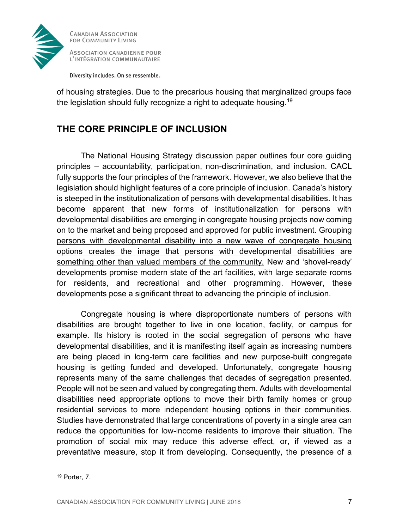

Diversity includes. On se ressemble.

of housing strategies. Due to the precarious housing that marginalized groups face the legislation should fully recognize a right to adequate housing.<sup>19</sup>

## **THE CORE PRINCIPLE OF INCLUSION**

The National Housing Strategy discussion paper outlines four core guiding principles – accountability, participation, non-discrimination, and inclusion. CACL fully supports the four principles of the framework. However, we also believe that the legislation should highlight features of a core principle of inclusion. Canada's history is steeped in the institutionalization of persons with developmental disabilities. It has become apparent that new forms of institutionalization for persons with developmental disabilities are emerging in congregate housing projects now coming on to the market and being proposed and approved for public investment. Grouping persons with developmental disability into a new wave of congregate housing options creates the image that persons with developmental disabilities are something other than valued members of the community. New and 'shovel-ready' developments promise modern state of the art facilities, with large separate rooms for residents, and recreational and other programming. However, these developments pose a significant threat to advancing the principle of inclusion.

Congregate housing is where disproportionate numbers of persons with disabilities are brought together to live in one location, facility, or campus for example. Its history is rooted in the social segregation of persons who have developmental disabilities, and it is manifesting itself again as increasing numbers are being placed in long-term care facilities and new purpose-built congregate housing is getting funded and developed. Unfortunately, congregate housing represents many of the same challenges that decades of segregation presented. People will not be seen and valued by congregating them. Adults with developmental disabilities need appropriate options to move their birth family homes or group residential services to more independent housing options in their communities. Studies have demonstrated that large concentrations of poverty in a single area can reduce the opportunities for low-income residents to improve their situation. The promotion of social mix may reduce this adverse effect, or, if viewed as a preventative measure, stop it from developing. Consequently, the presence of a

<sup>19</sup> Porter, 7.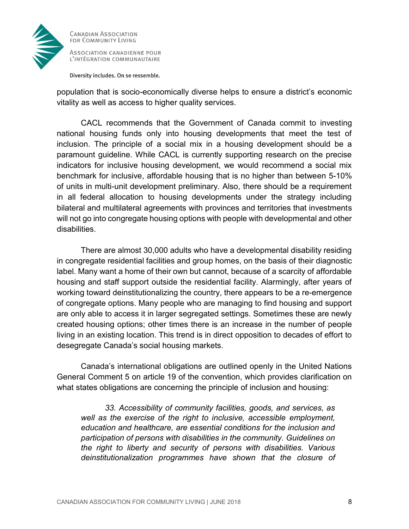

ASSOCIATION CANADIENNE POUR L'INTÉGRATION COMMUNAUTAIRE

Diversity includes. On se ressemble.

population that is socio-economically diverse helps to ensure a district's economic vitality as well as access to higher quality services.

CACL recommends that the Government of Canada commit to investing national housing funds only into housing developments that meet the test of inclusion. The principle of a social mix in a housing development should be a paramount guideline. While CACL is currently supporting research on the precise indicators for inclusive housing development, we would recommend a social mix benchmark for inclusive, affordable housing that is no higher than between 5-10% of units in multi-unit development preliminary. Also, there should be a requirement in all federal allocation to housing developments under the strategy including bilateral and multilateral agreements with provinces and territories that investments will not go into congregate housing options with people with developmental and other disabilities.

There are almost 30,000 adults who have a developmental disability residing in congregate residential facilities and group homes, on the basis of their diagnostic label. Many want a home of their own but cannot, because of a scarcity of affordable housing and staff support outside the residential facility. Alarmingly, after years of working toward deinstitutionalizing the country, there appears to be a re-emergence of congregate options. Many people who are managing to find housing and support are only able to access it in larger segregated settings. Sometimes these are newly created housing options; other times there is an increase in the number of people living in an existing location. This trend is in direct opposition to decades of effort to desegregate Canada's social housing markets.

Canada's international obligations are outlined openly in the United Nations General Comment 5 on article 19 of the convention, which provides clarification on what states obligations are concerning the principle of inclusion and housing:

*33. Accessibility of community facilities, goods, and services, as well as the exercise of the right to inclusive, accessible employment, education and healthcare, are essential conditions for the inclusion and participation of persons with disabilities in the community. Guidelines on the right to liberty and security of persons with disabilities. Various deinstitutionalization programmes have shown that the closure of*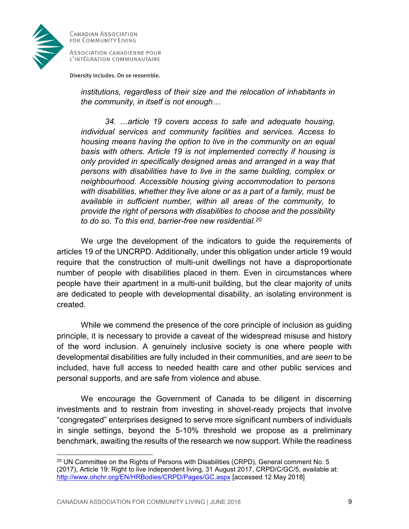

 $\overline{\phantom{a}}$ 

**CANADIAN ASSOCIATION** FOR COMMUNITY LIVING

ASSOCIATION CANADIENNE POUR L'INTÉGRATION COMMUNAUTAIRE

Diversity includes. On se ressemble.

*institutions, regardless of their size and the relocation of inhabitants in the community, in itself is not enough…*

*34. …article 19 covers access to safe and adequate housing, individual services and community facilities and services. Access to housing means having the option to live in the community on an equal basis with others. Article 19 is not implemented correctly if housing is only provided in specifically designed areas and arranged in a way that persons with disabilities have to live in the same building, complex or neighbourhood. Accessible housing giving accommodation to persons with disabilities, whether they live alone or as a part of a family, must be available in sufficient number, within all areas of the community, to provide the right of persons with disabilities to choose and the possibility to do so. To this end, barrier-free new residential.<sup>20</sup>*

We urge the development of the indicators to guide the requirements of articles 19 of the UNCRPD. Additionally, under this obligation under article 19 would require that the construction of multi-unit dwellings not have a disproportionate number of people with disabilities placed in them. Even in circumstances where people have their apartment in a multi-unit building, but the clear majority of units are dedicated to people with developmental disability, an isolating environment is created.

While we commend the presence of the core principle of inclusion as guiding principle, it is necessary to provide a caveat of the widespread misuse and history of the word inclusion. A genuinely inclusive society is one where people with developmental disabilities are fully included in their communities, and are *seen* to be included, have full access to needed health care and other public services and personal supports, and are safe from violence and abuse.

We encourage the Government of Canada to be diligent in discerning investments and to restrain from investing in shovel-ready projects that involve "congregated" enterprises designed to serve more significant numbers of individuals in single settings, beyond the 5-10% threshold we propose as a preliminary benchmark, awaiting the results of the research we now support. While the readiness

<sup>&</sup>lt;sup>20</sup> UN Committee on the Rights of Persons with Disabilities (CRPD), General comment No. 5 (2017), Article 19: Right to live independent living, 31 August 2017, CRPD/C/GC/5, available at: <http://www.ohchr.org/EN/HRBodies/CRPD/Pages/GC.aspx> [accessed 12 May 2018]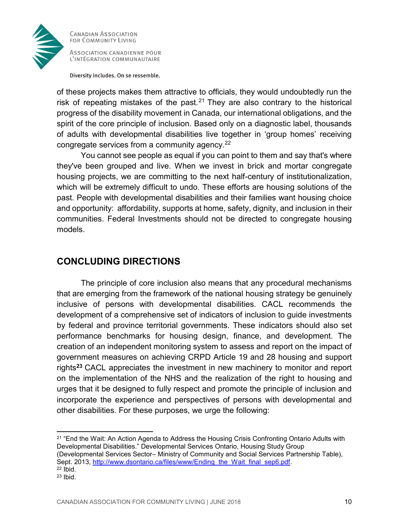

ASSOCIATION CANADIENNE POUR L'INTÉGRATION COMMUNAUTAIRE

Diversity includes. On se ressemble.

of these projects makes them attractive to officials, they would undoubtedly run the risk of repeating mistakes of the past.<sup>21</sup> They are also contrary to the historical progress of the disability movement in Canada, our international obligations, and the spirit of the core principle of inclusion. Based only on a diagnostic label, thousands of adults with developmental disabilities live together in 'group homes' receiving congregate services from a community agency.<sup>22</sup>

You cannot see people as equal if you can point to them and say that's where they've been grouped and live. When we invest in brick and mortar congregate housing projects, we are committing to the next half-century of institutionalization, which will be extremely difficult to undo. These efforts are housing solutions of the past. People with developmental disabilities and their families want housing choice and opportunity: affordability, supports at home, safety, dignity, and inclusion in their communities. Federal Investments should not be directed to congregate housing models.

#### **CONCLUDING DIRECTIONS**

The principle of core inclusion also means that any procedural mechanisms that are emerging from the framework of the national housing strategy be genuinely inclusive of persons with developmental disabilities. CACL recommends the development of a comprehensive set of indicators of inclusion to guide investments by federal and province territorial governments. These indicators should also set performance benchmarks for housing design, finance, and development. The creation of an independent monitoring system to assess and report on the impact of government measures on achieving CRPD Article 19 and 28 housing and support rights**<sup>23</sup>** CACL appreciates the investment in new machinery to monitor and report on the implementation of the NHS and the realization of the right to housing and urges that it be designed to fully respect and promote the principle of inclusion and incorporate the experience and perspectives of persons with developmental and other disabilities. For these purposes, we urge the following:

<sup>21</sup> "End the Wait: An Action Agenda to Address the Housing Crisis Confronting Ontario Adults with Developmental Disabilities." Developmental Services Ontario, Housing Study Group (Developmental Services Sector– Ministry of Community and Social Services Partnership Table), Sept. 2013, [http://www.dsontario.ca/files/www/Ending\\_the\\_Wait\\_final\\_sep6.pdf.](http://www.dsontario.ca/files/www/Ending_the_Wait_final_sep6.pdf)  $22$  Ibid.

l

 $23$  Ibid.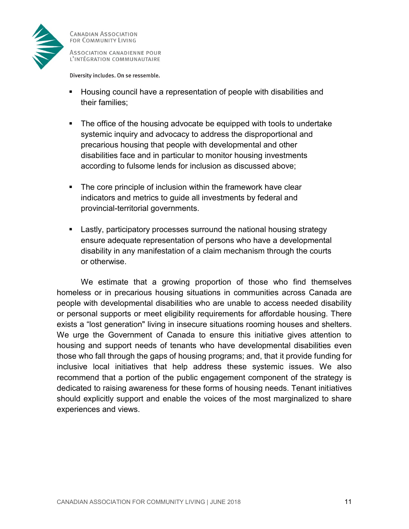

ASSOCIATION CANADIENNE POUR L'INTÉGRATION COMMUNAUTAIRE

Diversity includes. On se ressemble.

- Housing council have a representation of people with disabilities and their families;
- The office of the housing advocate be equipped with tools to undertake systemic inquiry and advocacy to address the disproportional and precarious housing that people with developmental and other disabilities face and in particular to monitor housing investments according to fulsome lends for inclusion as discussed above;
- The core principle of inclusion within the framework have clear indicators and metrics to guide all investments by federal and provincial-territorial governments.
- **EXECT** Lastly, participatory processes surround the national housing strategy ensure adequate representation of persons who have a developmental disability in any manifestation of a claim mechanism through the courts or otherwise.

We estimate that a growing proportion of those who find themselves homeless or in precarious housing situations in communities across Canada are people with developmental disabilities who are unable to access needed disability or personal supports or meet eligibility requirements for affordable housing. There exists a "lost generation" living in insecure situations rooming houses and shelters. We urge the Government of Canada to ensure this initiative gives attention to housing and support needs of tenants who have developmental disabilities even those who fall through the gaps of housing programs; and, that it provide funding for inclusive local initiatives that help address these systemic issues. We also recommend that a portion of the public engagement component of the strategy is dedicated to raising awareness for these forms of housing needs. Tenant initiatives should explicitly support and enable the voices of the most marginalized to share experiences and views.